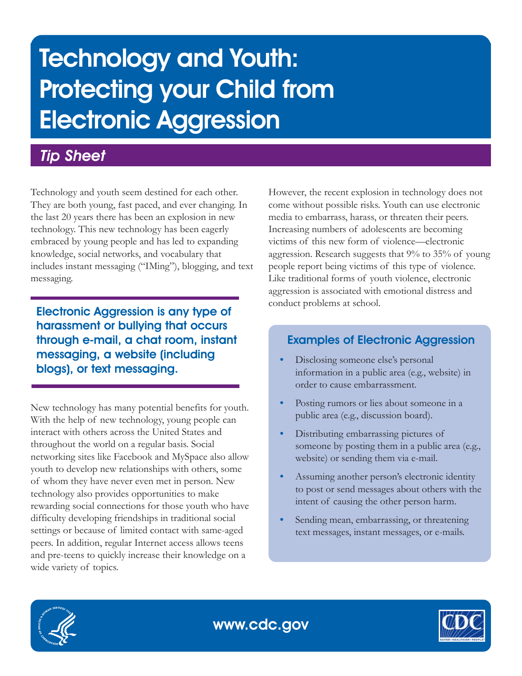# Technology and Youth: Protecting your Child from Electronic Aggression

# *Tip Sheet*

Technology and youth seem destined for each other. They are both young, fast paced, and ever changing. In the last 20 years there has been an explosion in new technology. This new technology has been eagerly embraced by young people and has led to expanding knowledge, social networks, and vocabulary that includes instant messaging ("IMing"), blogging, and text messaging.

Electronic Aggression is any type of harassment or bullying that occurs through e-mail, a chat room, instant messaging, a website (including blogs), or text messaging.

New technology has many potential benefits for youth. With the help of new technology, young people can interact with others across the United States and throughout the world on a regular basis. Social networking sites like Facebook and MySpace also allow youth to develop new relationships with others, some of whom they have never even met in person. New technology also provides opportunities to make rewarding social connections for those youth who have difficulty developing friendships in traditional social settings or because of limited contact with same-aged peers. In addition, regular Internet access allows teens and pre-teens to quickly increase their knowledge on a wide variety of topics.

However, the recent explosion in technology does not come without possible risks. Youth can use electronic media to embarrass, harass, or threaten their peers. Increasing numbers of adolescents are becoming victims of this new form of violence—electronic aggression. Research suggests that 9% to 35% of young people report being victims of this type of violence. Like traditional forms of youth violence, electronic aggression is associated with emotional distress and conduct problems at school.

# Examples of Electronic Aggression

- **•** Disclosing someone else's personal information in a public area (e.g., website) in order to cause embarrassment.
- **•** Posting rumors or lies about someone in a public area (e.g., discussion board).
- **•** Distributing embarrassing pictures of someone by posting them in a public area (e.g., website) or sending them via e-mail.
- **•** Assuming another person's electronic identity to post or send messages about others with the intent of causing the other person harm.
- **•** Sending mean, embarrassing, or threatening text messages, instant messages, or e-mails.



www.cdc.gov